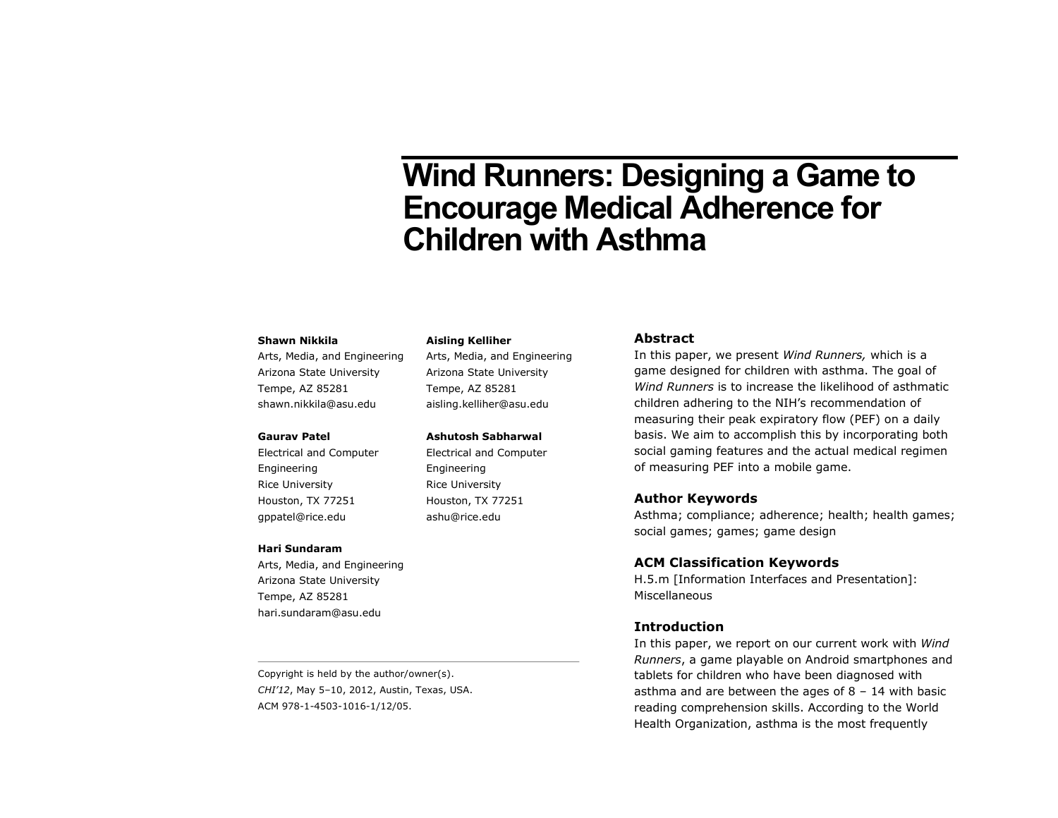# **Wind Runners: Designing a Game to Encourage Medical Adherence for Children with Asthma**

#### **Shawn Nikkila**

Arts, Media, and Engineering Arizona State University Tempe, AZ 85281 shawn.nikkila@asu.edu

#### **Gaurav Patel**

Electrical and Computer Engineering Rice University Houston, TX 77251 gppatel@rice.edu

#### **Hari Sundaram**

Arts, Media, and Engineering Arizona State University Tempe, AZ 85281 hari.sundaram@asu.edu

Copyright is held by the author/owner(s). *CHI'12*, May 5–10, 2012, Austin, Texas, USA. ACM 978-1-4503-1016-1/12/05.

## **Aisling Kelliher**

Arts, Media, and Engineering Arizona State University Tempe, AZ 85281 aisling.kelliher@asu.edu

## **Ashutosh Sabharwal**

Electrical and Computer Engineering Rice University Houston, TX 77251 ashu@rice.edu

## **Abstract**

In this paper, we present *Wind Runners,* which is a game designed for children with asthma. The goal of *Wind Runners* is to increase the likelihood of asthmatic children adhering to the NIH's recommendation of measuring their peak expiratory flow (PEF) on a daily basis. We aim to accomplish this by incorporating both social gaming features and the actual medical regimen of measuring PEF into a mobile game.

# **Author Keywords**

Asthma; compliance; adherence; health; health games; social games; games; game design

# **ACM Classification Keywords**

H.5.m [Information Interfaces and Presentation]: **Miscellaneous** 

## **Introduction**

In this paper, we report on our current work with *Wind Runners*, a game playable on Android smartphones and tablets for children who have been diagnosed with asthma and are between the ages of  $8 - 14$  with basic reading comprehension skills. According to the World Health Organization, asthma is the most frequently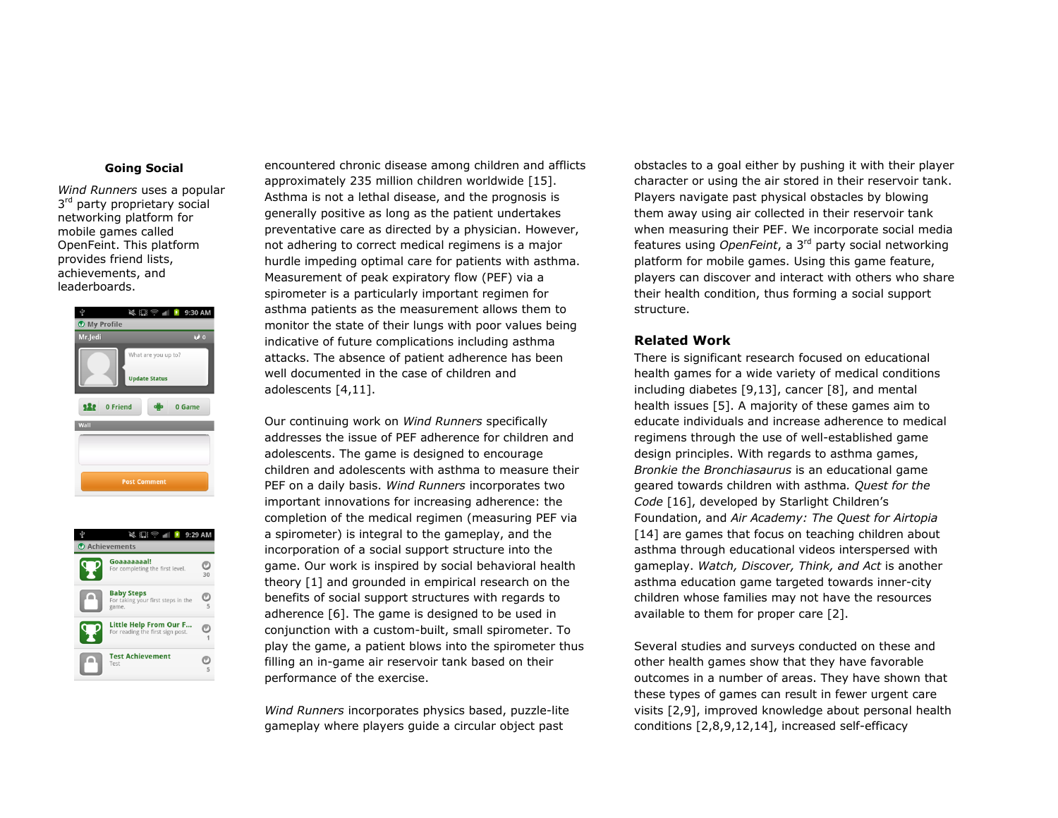## **Going Social**

*Wind Runners* uses a popular 3<sup>rd</sup> party proprietary social networking platform for mobile games called OpenFeint. This platform provides friend lists, achievements, and leaderboards.





encountered chronic disease among children and afflicts approximately 235 million children worldwide [15]. Asthma is not a lethal disease, and the prognosis is generally positive as long as the patient undertakes preventative care as directed by a physician. However, not adhering to correct medical regimens is a major hurdle impeding optimal care for patients with asthma. Measurement of peak expiratory flow (PEF) via a spirometer is a particularly important regimen for asthma patients as the measurement allows them to monitor the state of their lungs with poor values being indicative of future complications including asthma attacks. The absence of patient adherence has been well documented in the case of children and adolescents [4,11].

Our continuing work on *Wind Runners* specifically addresses the issue of PEF adherence for children and adolescents. The game is designed to encourage children and adolescents with asthma to measure their PEF on a daily basis. *Wind Runners* incorporates two important innovations for increasing adherence: the completion of the medical regimen (measuring PEF via a spirometer) is integral to the gameplay, and the incorporation of a social support structure into the game. Our work is inspired by social behavioral health theory [1] and grounded in empirical research on the benefits of social support structures with regards to adherence [6]. The game is designed to be used in conjunction with a custom-built, small spirometer. To play the game, a patient blows into the spirometer thus filling an in-game air reservoir tank based on their performance of the exercise.

*Wind Runners* incorporates physics based, puzzle-lite gameplay where players guide a circular object past

obstacles to a goal either by pushing it with their player character or using the air stored in their reservoir tank. Players navigate past physical obstacles by blowing them away using air collected in their reservoir tank when measuring their PEF. We incorporate social media features using *OpenFeint*, a 3rd party social networking platform for mobile games. Using this game feature, players can discover and interact with others who share their health condition, thus forming a social support structure.

# **Related Work**

There is significant research focused on educational health games for a wide variety of medical conditions including diabetes [9,13], cancer [8], and mental health issues [5]. A majority of these games aim to educate individuals and increase adherence to medical regimens through the use of well-established game design principles. With regards to asthma games, *Bronkie the Bronchiasaurus* is an educational game geared towards children with asthma*. Quest for the Code* [16], developed by Starlight Children's Foundation, and *Air Academy: The Quest for Airtopia* [14] are games that focus on teaching children about asthma through educational videos interspersed with gameplay. *Watch, Discover, Think, and Act* is another asthma education game targeted towards inner-city children whose families may not have the resources available to them for proper care [2].

Several studies and surveys conducted on these and other health games show that they have favorable outcomes in a number of areas. They have shown that these types of games can result in fewer urgent care visits [2,9], improved knowledge about personal health conditions [2,8,9,12,14], increased self-efficacy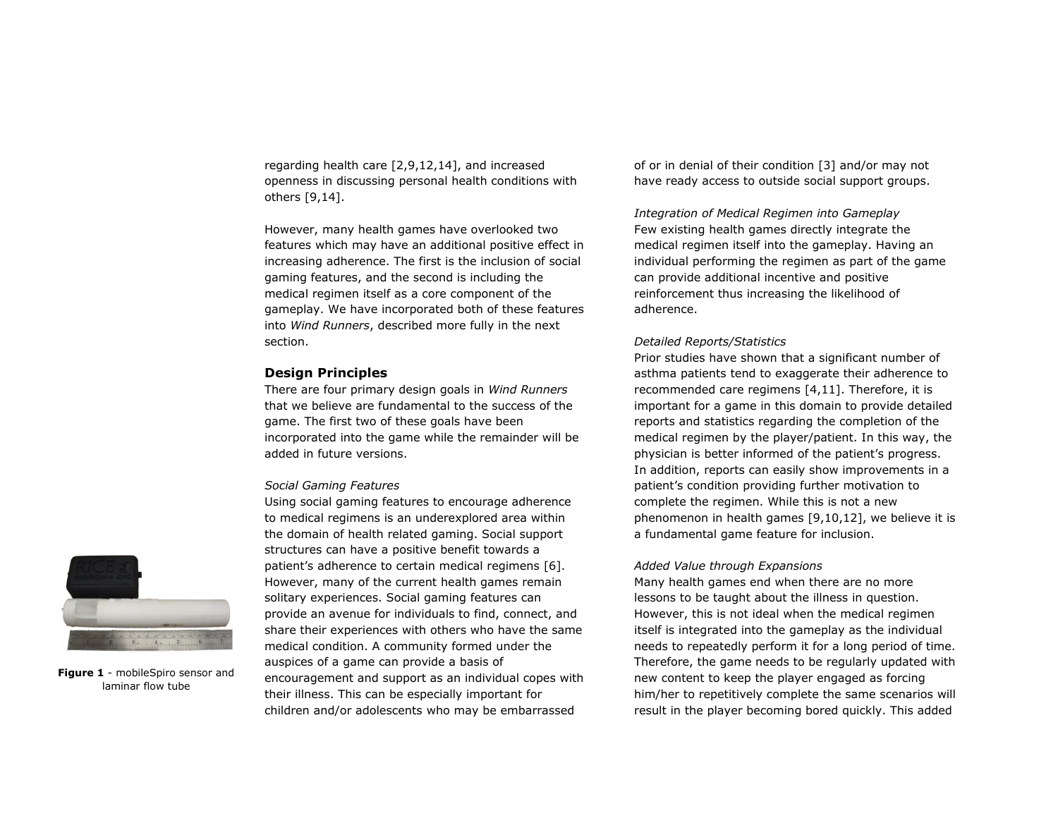regarding health care [2,9,12,14], and increased openness in discussing personal health conditions with others [9,14].

However, many health games have overlooked two features which may have an additional positive effect in increasing adherence. The first is the inclusion of social gaming features, and the second is including the medical regimen itself as a core component of the gameplay. We have incorporated both of these features into *Wind Runners*, described more fully in the next section.

# **Design Principles**

There are four primary design goals in *Wind Runners* that we believe are fundamental to the success of the game. The first two of these goals have been incorporated into the game while the remainder will be added in future versions.

#### *Social Gaming Features*

Using social gaming features to encourage adherence to medical regimens is an underexplored area within the domain of health related gaming. Social support structures can have a positive benefit towards a patient's adherence to certain medical regimens [6]. However, many of the current health games remain solitary experiences. Social gaming features can provide an avenue for individuals to find, connect, and share their experiences with others who have the same medical condition. A community formed under the auspices of a game can provide a basis of encouragement and support as an individual copes with their illness. This can be especially important for children and/or adolescents who may be embarrassed

of or in denial of their condition [3] and/or may not have ready access to outside social support groups.

*Integration of Medical Regimen into Gameplay* Few existing health games directly integrate the medical regimen itself into the gameplay. Having an individual performing the regimen as part of the game can provide additional incentive and positive reinforcement thus increasing the likelihood of adherence.

## *Detailed Reports/Statistics*

Prior studies have shown that a significant number of asthma patients tend to exaggerate their adherence to recommended care regimens [4,11]. Therefore, it is important for a game in this domain to provide detailed reports and statistics regarding the completion of the medical regimen by the player/patient. In this way, the physician is better informed of the patient's progress. In addition, reports can easily show improvements in a patient's condition providing further motivation to complete the regimen. While this is not a new phenomenon in health games [9,10,12], we believe it is a fundamental game feature for inclusion.

# *Added Value through Expansions*

Many health games end when there are no more lessons to be taught about the illness in question. However, this is not ideal when the medical regimen itself is integrated into the gameplay as the individual needs to repeatedly perform it for a long period of time. Therefore, the game needs to be regularly updated with new content to keep the player engaged as forcing him/her to repetitively complete the same scenarios will result in the player becoming bored quickly. This added

<span id="page-2-0"></span>

**Figure 1** - mobileSpiro sensor and laminar flow tube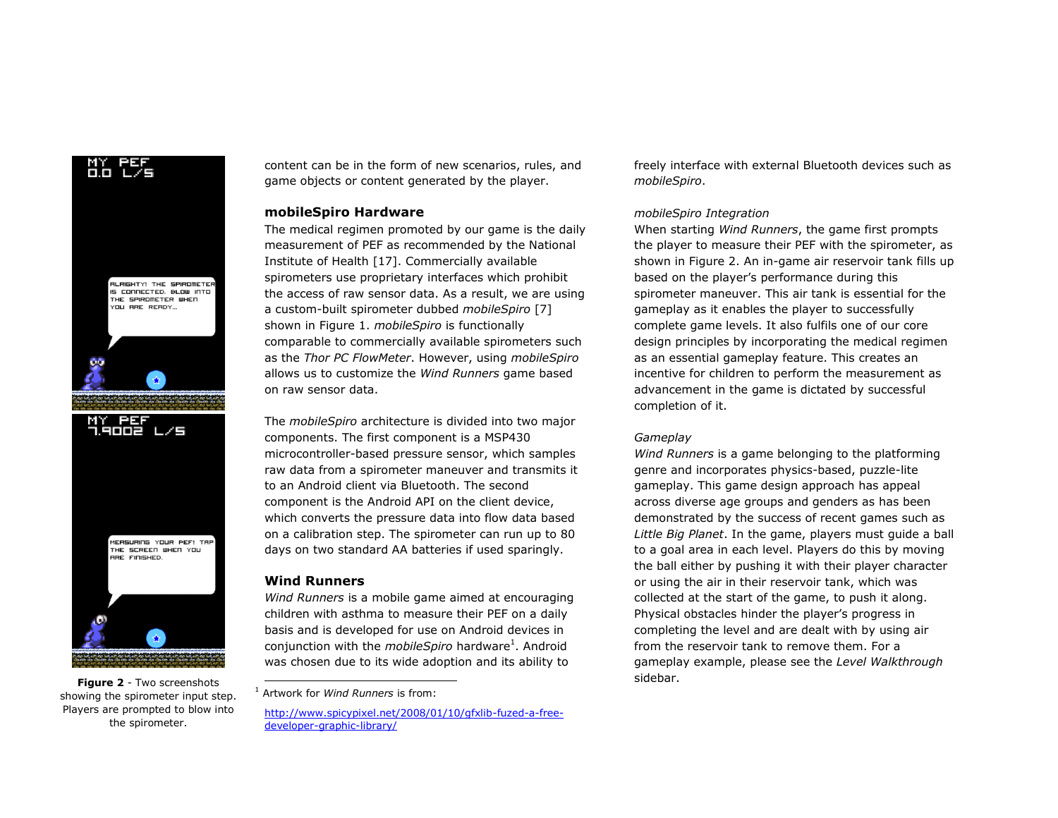

<span id="page-3-0"></span>Figure 2 - Two screenshots **Figure 2 - Two screenshots Figure 2 - Two sidebar.** showing the spirometer input step. Players are prompted to blow into the spirometer.

content can be in the form of new scenarios, rules, and game objects or content generated by the player.

## **mobileSpiro Hardware**

The medical regimen promoted by our game is the daily measurement of PEF as recommended by the National Institute of Health [17]. Commercially available spirometers use proprietary interfaces which prohibit the access of raw sensor data. As a result, we are using a custom-built spirometer dubbed *mobileSpiro* [7] shown in [Figure 1.](#page-2-0) *mobileSpiro* is functionally comparable to commercially available spirometers such as the *Thor PC FlowMeter*. However, using *mobileSpiro*  allows us to customize the *Wind Runners* game based on raw sensor data.

The *mobileSpiro* architecture is divided into two major components. The first component is a MSP430 microcontroller-based pressure sensor, which samples raw data from a spirometer maneuver and transmits it to an Android client via Bluetooth. The second component is the Android API on the client device, which converts the pressure data into flow data based on a calibration step. The spirometer can run up to 80 days on two standard AA batteries if used sparingly.

## **Wind Runners**

ł

*Wind Runners* is a mobile game aimed at encouraging children with asthma to measure their PEF on a daily basis and is developed for use on Android devices in conjunction with the *mobileSpiro* hardware<sup>1</sup>. Android was chosen due to its wide adoption and its ability to

[http://www.spicypixel.net/2008/01/10/gfxlib-fuzed-a-free](http://www.spicypixel.net/2008/01/10/gfxlib-fuzed-a-free-developer-graphic-library/)[developer-graphic-library/](http://www.spicypixel.net/2008/01/10/gfxlib-fuzed-a-free-developer-graphic-library/)

freely interface with external Bluetooth devices such as *mobileSpiro*.

# *mobileSpiro Integration*

When starting *Wind Runners*, the game first prompts the player to measure their PEF with the spirometer, as shown in [Figure 2.](#page-3-0) An in-game air reservoir tank fills up based on the player's performance during this spirometer maneuver. This air tank is essential for the gameplay as it enables the player to successfully complete game levels. It also fulfils one of our core design principles by incorporating the medical regimen as an essential gameplay feature. This creates an incentive for children to perform the measurement as advancement in the game is dictated by successful completion of it.

# *Gameplay*

*Wind Runners* is a game belonging to the platforming genre and incorporates physics-based, puzzle-lite gameplay. This game design approach has appeal across diverse age groups and genders as has been demonstrated by the success of recent games such as *Little Big Planet*. In the game, players must guide a ball to a goal area in each level. Players do this by moving the ball either by pushing it with their player character or using the air in their reservoir tank, which was collected at the start of the game, to push it along. Physical obstacles hinder the player's progress in completing the level and are dealt with by using air from the reservoir tank to remove them. For a gameplay example, please see the *Level Walkthrough*

<sup>1</sup> Artwork for *Wind Runners* is from: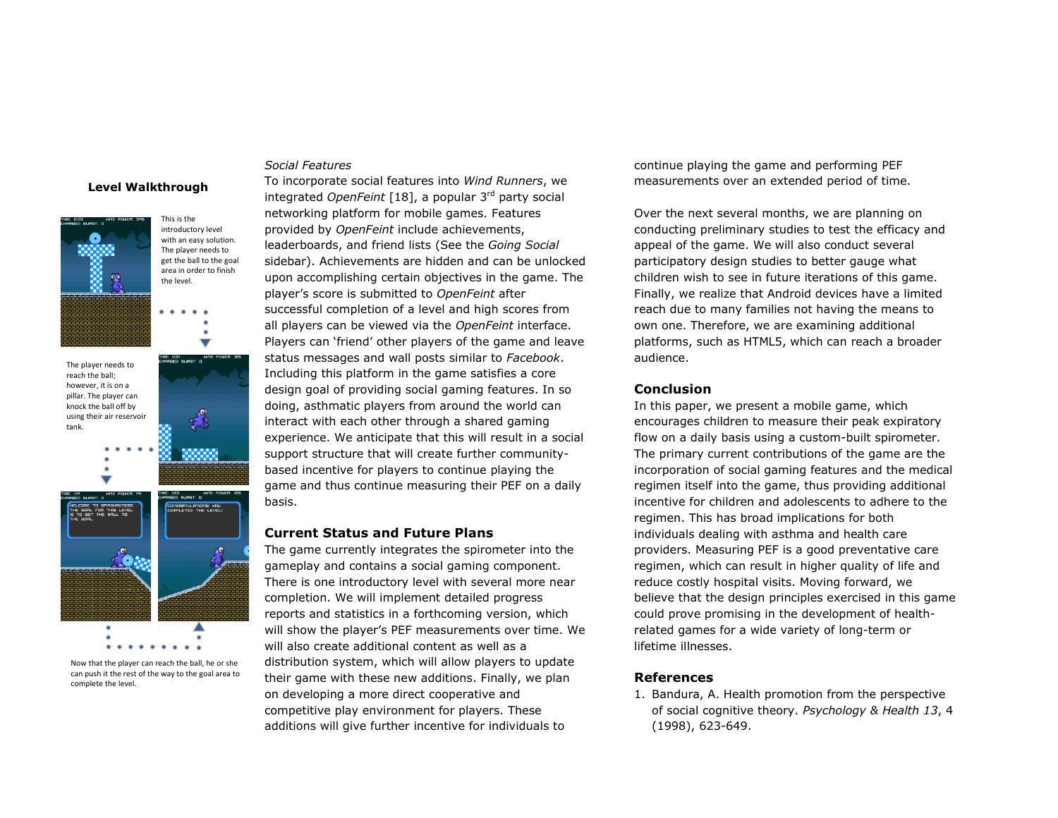## **Level Walkthrough**



This is the introductory level with an easy solution. The player needs to get the ball to the goal area in order to finish the level.

The player needs to reach the ball; however, it is on a pillar. The player can knock the ball off by using their air reservoir tank.





Now that the player can reach the ball, he or she can push it the rest of the way to the goal area to complete the level.

# *Social Features*

To incorporate social features into *Wind Runners*, we integrated *OpenFeint* [18], a popular 3rd party social networking platform for mobile games. Features provided by *OpenFeint* include achievements, leaderboards, and friend lists (See the *Going Social*  sidebar). Achievements are hidden and can be unlocked upon accomplishing certain objectives in the game. The player's score is submitted to *OpenFeint* after successful completion of a level and high scores from all players can be viewed via the *OpenFeint* interface. Players can 'friend' other players of the game and leave status messages and wall posts similar to *Facebook*. Including this platform in the game satisfies a core design goal of providing social gaming features. In so doing, asthmatic players from around the world can interact with each other through a shared gaming experience. We anticipate that this will result in a social support structure that will create further communitybased incentive for players to continue playing the game and thus continue measuring their PEF on a daily basis.

# **Current Status and Future Plans**

The game currently integrates the spirometer into the gameplay and contains a social gaming component. There is one introductory level with several more near completion. We will implement detailed progress reports and statistics in a forthcoming version, which will show the player's PEF measurements over time. We will also create additional content as well as a distribution system, which will allow players to update their game with these new additions. Finally, we plan on developing a more direct cooperative and competitive play environment for players. These additions will give further incentive for individuals to

continue playing the game and performing PEF measurements over an extended period of time.

Over the next several months, we are planning on conducting preliminary studies to test the efficacy and appeal of the game. We will also conduct several participatory design studies to better gauge what children wish to see in future iterations of this game. Finally, we realize that Android devices have a limited reach due to many families not having the means to own one. Therefore, we are examining additional platforms, such as HTML5, which can reach a broader audience.

# **Conclusion**

In this paper, we present a mobile game, which encourages children to measure their peak expiratory flow on a daily basis using a custom-built spirometer. The primary current contributions of the game are the incorporation of social gaming features and the medical regimen itself into the game, thus providing additional incentive for children and adolescents to adhere to the regimen. This has broad implications for both individuals dealing with asthma and health care providers. Measuring PEF is a good preventative care regimen, which can result in higher quality of life and reduce costly hospital visits. Moving forward, we believe that the design principles exercised in this game could prove promising in the development of healthrelated games for a wide variety of long-term or lifetime illnesses.

# **References**

1. Bandura, A. Health promotion from the perspective of social cognitive theory. *Psychology & Health 13*, 4 (1998), 623-649.